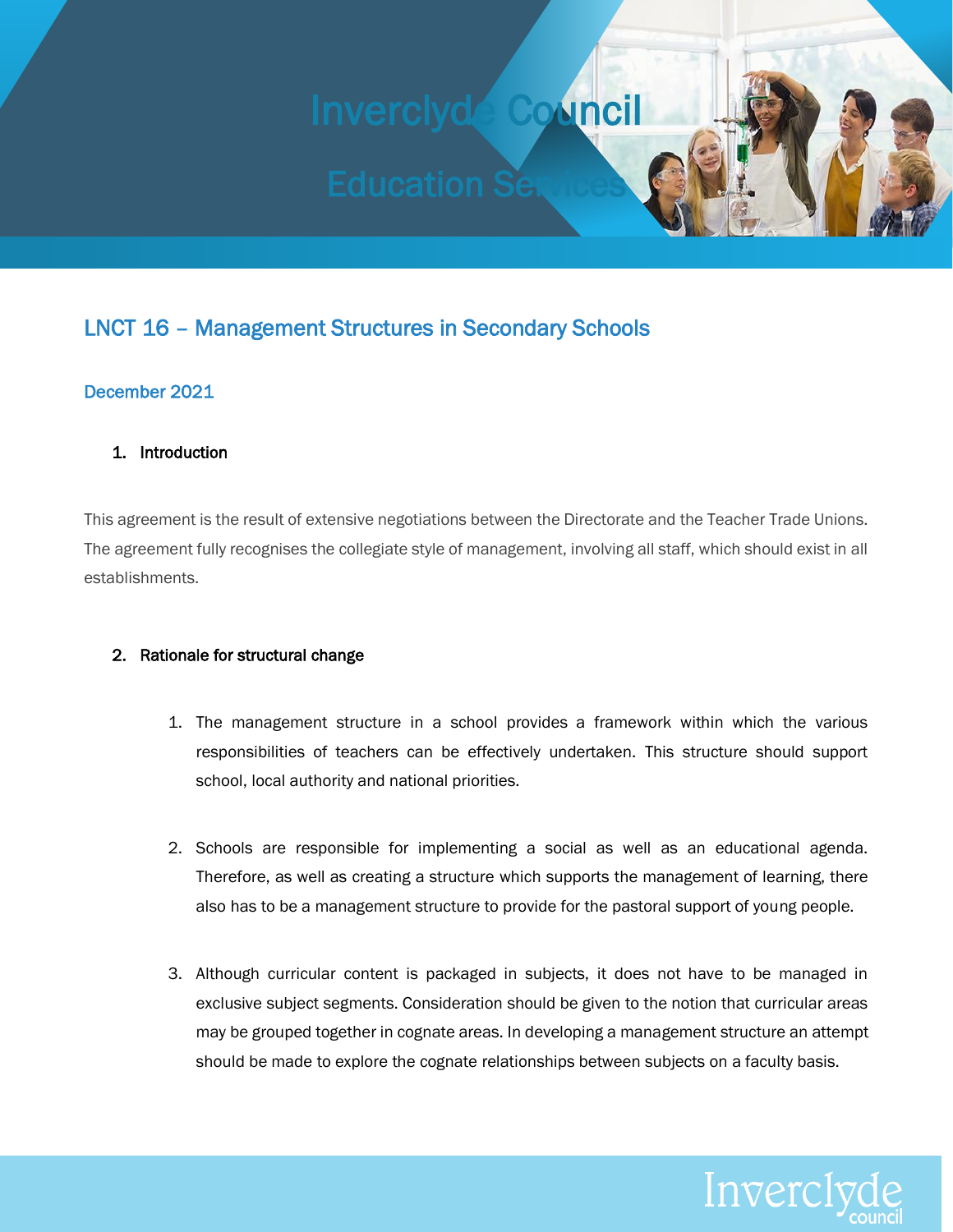# Inverclyde Council

## LNCT 16 – Management Structures in Secondary Schools

### December 2021

#### 1. Introduction

This agreement is the result of extensive negotiations between the Directorate and the Teacher Trade Unions. The agreement fully recognises the collegiate style of management, involving all staff, which should exist in all establishments.

#### 2. Rationale for structural change

- 1. The management structure in a school provides a framework within which the various responsibilities of teachers can be effectively undertaken. This structure should support school, local authority and national priorities.
- 2. Schools are responsible for implementing a social as well as an educational agenda. Therefore, as well as creating a structure which supports the management of learning, there also has to be a management structure to provide for the pastoral support of young people.
- 3. Although curricular content is packaged in subjects, it does not have to be managed in exclusive subject segments. Consideration should be given to the notion that curricular areas may be grouped together in cognate areas. In developing a management structure an attempt should be made to explore the cognate relationships between subjects on a faculty basis.

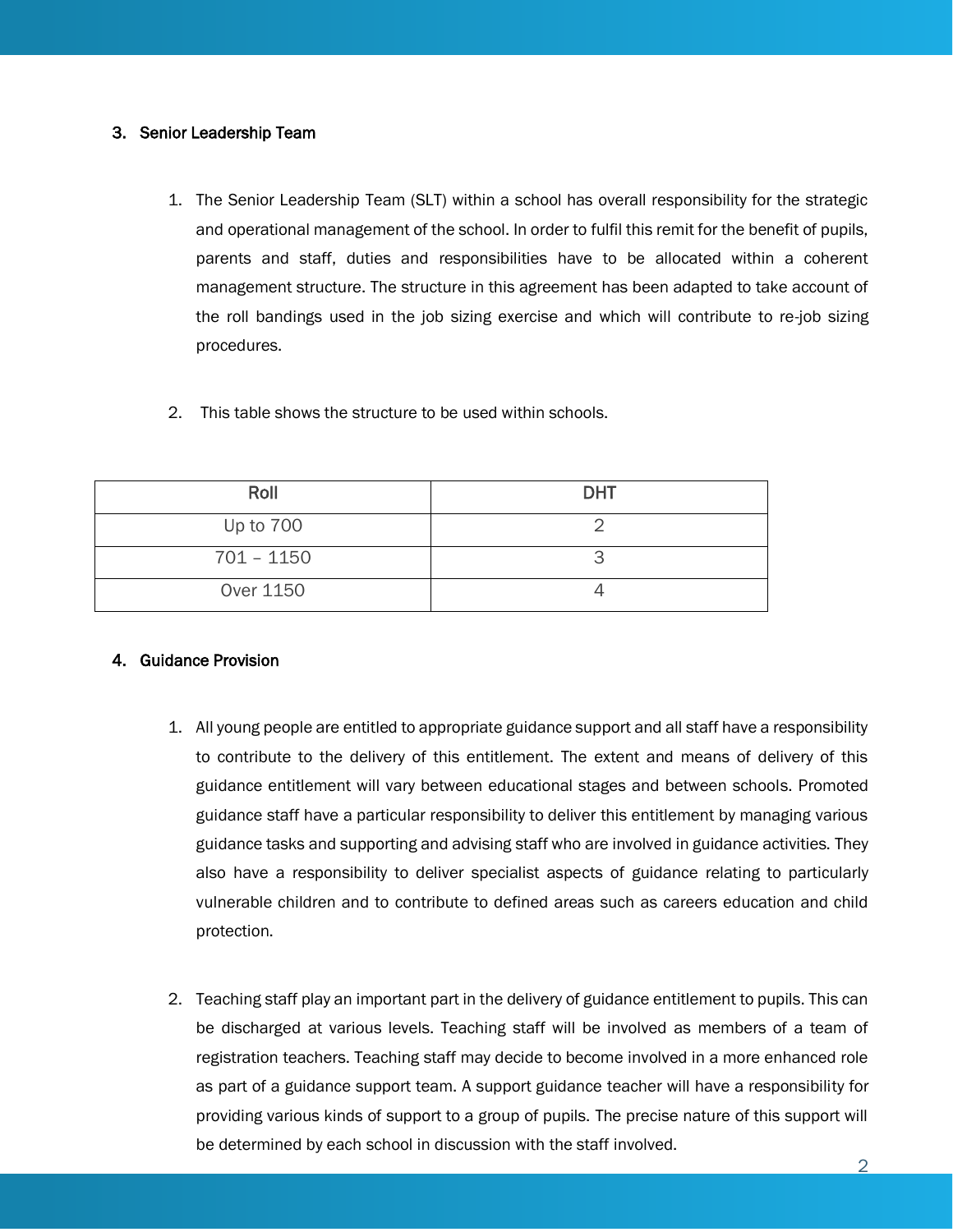#### 3. Senior Leadership Team

- 1. The Senior Leadership Team (SLT) within a school has overall responsibility for the strategic and operational management of the school. In order to fulfil this remit for the benefit of pupils, parents and staff, duties and responsibilities have to be allocated within a coherent management structure. The structure in this agreement has been adapted to take account of the roll bandings used in the job sizing exercise and which will contribute to re-job sizing procedures.
- 2. This table shows the structure to be used within schools.

| Roll         | <b>DHT</b> |
|--------------|------------|
| Up to 700    |            |
| $701 - 1150$ |            |
| Over 1150    |            |

#### 4. Guidance Provision

- 1. All young people are entitled to appropriate guidance support and all staff have a responsibility to contribute to the delivery of this entitlement. The extent and means of delivery of this guidance entitlement will vary between educational stages and between schools. Promoted guidance staff have a particular responsibility to deliver this entitlement by managing various guidance tasks and supporting and advising staff who are involved in guidance activities. They also have a responsibility to deliver specialist aspects of guidance relating to particularly vulnerable children and to contribute to defined areas such as careers education and child protection.
- 2. Teaching staff play an important part in the delivery of guidance entitlement to pupils. This can be discharged at various levels. Teaching staff will be involved as members of a team of registration teachers. Teaching staff may decide to become involved in a more enhanced role as part of a guidance support team. A support guidance teacher will have a responsibility for providing various kinds of support to a group of pupils. The precise nature of this support will be determined by each school in discussion with the staff involved.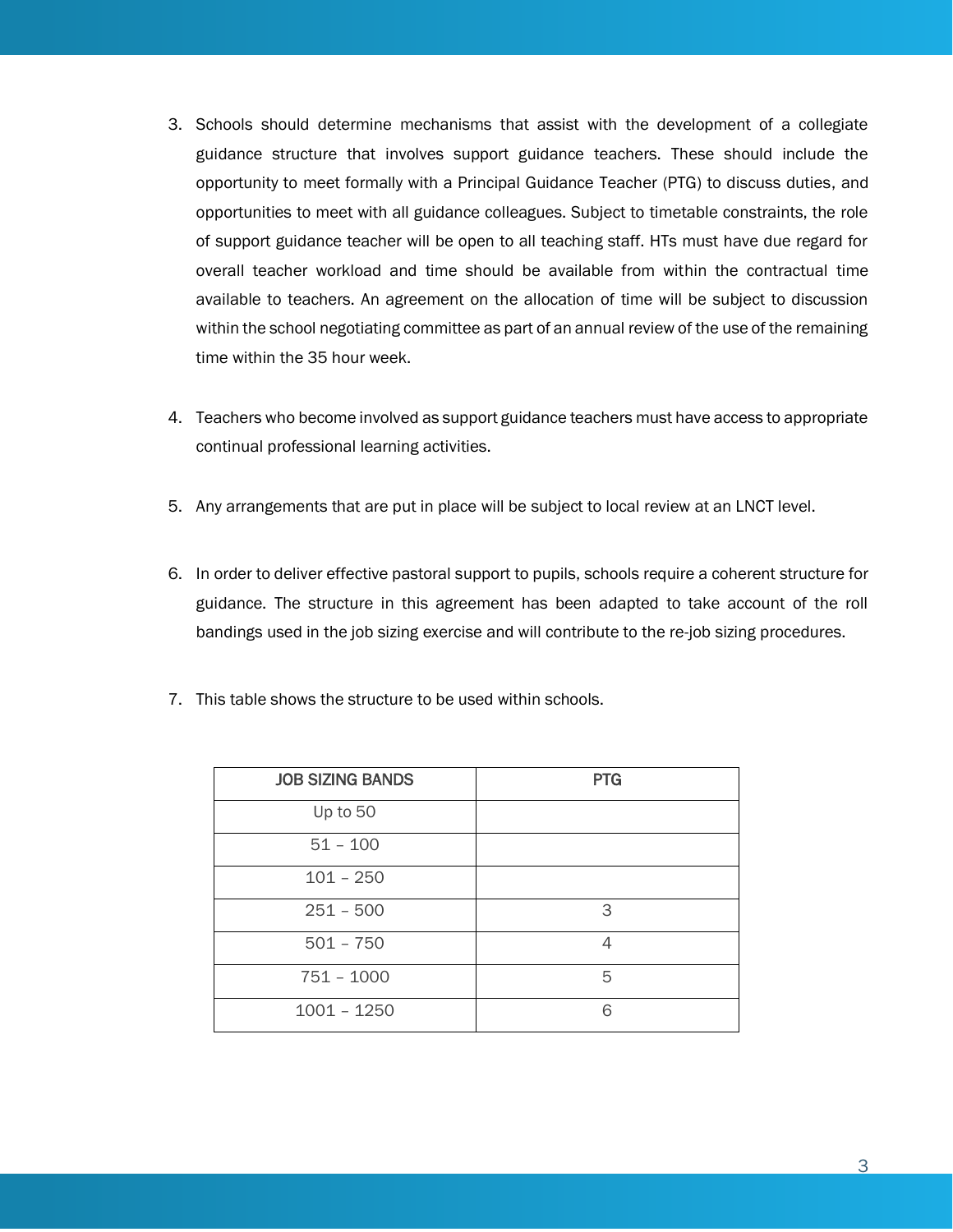- 3. Schools should determine mechanisms that assist with the development of a collegiate guidance structure that involves support guidance teachers. These should include the opportunity to meet formally with a Principal Guidance Teacher (PTG) to discuss duties, and opportunities to meet with all guidance colleagues. Subject to timetable constraints, the role of support guidance teacher will be open to all teaching staff. HTs must have due regard for overall teacher workload and time should be available from within the contractual time available to teachers. An agreement on the allocation of time will be subject to discussion within the school negotiating committee as part of an annual review of the use of the remaining time within the 35 hour week.
- 4. Teachers who become involved as support guidance teachers must have access to appropriate continual professional learning activities.
- 5. Any arrangements that are put in place will be subject to local review at an LNCT level.
- 6. In order to deliver effective pastoral support to pupils, schools require a coherent structure for guidance. The structure in this agreement has been adapted to take account of the roll bandings used in the job sizing exercise and will contribute to the re-job sizing procedures.
- 7. This table shows the structure to be used within schools.

| <b>JOB SIZING BANDS</b> | <b>PTG</b> |  |
|-------------------------|------------|--|
| Up to 50                |            |  |
| $51 - 100$              |            |  |
| $101 - 250$             |            |  |
| $251 - 500$             | 3          |  |
| $501 - 750$             | Л          |  |
| $751 - 1000$            | 5          |  |
| $1001 - 1250$           | 6          |  |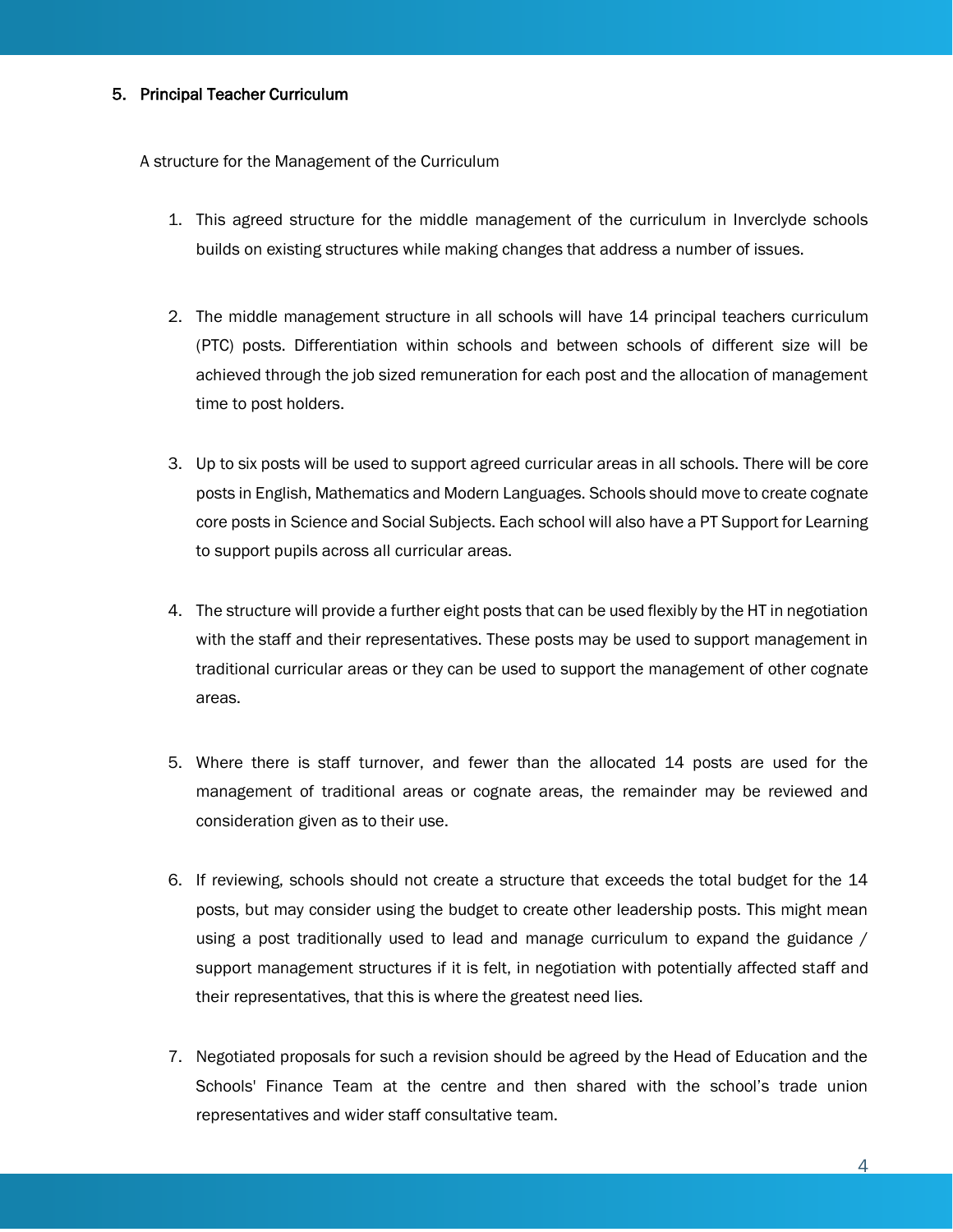#### 5. Principal Teacher Curriculum

A structure for the Management of the Curriculum

- 1. This agreed structure for the middle management of the curriculum in Inverclyde schools builds on existing structures while making changes that address a number of issues.
- 2. The middle management structure in all schools will have 14 principal teachers curriculum (PTC) posts. Differentiation within schools and between schools of different size will be achieved through the job sized remuneration for each post and the allocation of management time to post holders.
- 3. Up to six posts will be used to support agreed curricular areas in all schools. There will be core posts in English, Mathematics and Modern Languages. Schools should move to create cognate core posts in Science and Social Subjects. Each school will also have a PT Support for Learning to support pupils across all curricular areas.
- 4. The structure will provide a further eight posts that can be used flexibly by the HT in negotiation with the staff and their representatives. These posts may be used to support management in traditional curricular areas or they can be used to support the management of other cognate areas.
- 5. Where there is staff turnover, and fewer than the allocated 14 posts are used for the management of traditional areas or cognate areas, the remainder may be reviewed and consideration given as to their use.
- 6. If reviewing, schools should not create a structure that exceeds the total budget for the 14 posts, but may consider using the budget to create other leadership posts. This might mean using a post traditionally used to lead and manage curriculum to expand the guidance / support management structures if it is felt, in negotiation with potentially affected staff and their representatives, that this is where the greatest need lies.
- 7. Negotiated proposals for such a revision should be agreed by the Head of Education and the Schools' Finance Team at the centre and then shared with the school's trade union representatives and wider staff consultative team.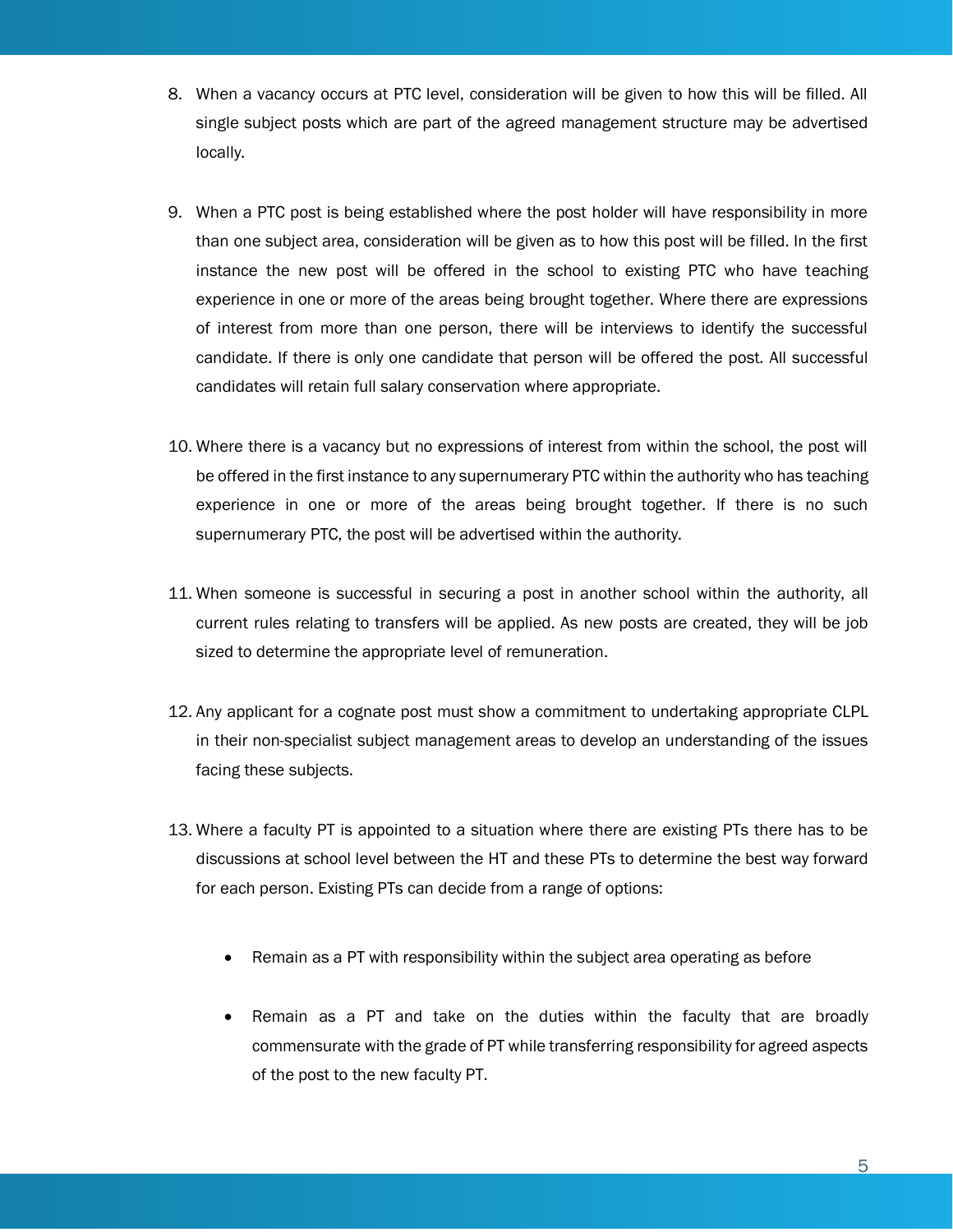- 8. When a vacancy occurs at PTC level, consideration will be given to how this will be filled. All single subject posts which are part of the agreed management structure may be advertised locally.
- 9. When a PTC post is being established where the post holder will have responsibility in more than one subject area, consideration will be given as to how this post will be filled. In the first instance the new post will be offered in the school to existing PTC who have teaching experience in one or more of the areas being brought together. Where there are expressions of interest from more than one person, there will be interviews to identify the successful candidate. If there is only one candidate that person will be offered the post. All successful candidates will retain full salary conservation where appropriate.
- 10. Where there is a vacancy but no expressions of interest from within the school, the post will be offered in the first instance to any supernumerary PTC within the authority who has teaching experience in one or more of the areas being brought together. If there is no such supernumerary PTC, the post will be advertised within the authority.
- 11. When someone is successful in securing a post in another school within the authority, all current rules relating to transfers will be applied. As new posts are created, they will be job sized to determine the appropriate level of remuneration.
- 12. Any applicant for a cognate post must show a commitment to undertaking appropriate CLPL in their non-specialist subject management areas to develop an understanding of the issues facing these subjects.
- 13. Where a faculty PT is appointed to a situation where there are existing PTs there has to be discussions at school level between the HT and these PTs to determine the best way forward for each person. Existing PTs can decide from a range of options:
	- Remain as a PT with responsibility within the subject area operating as before
	- Remain as a PT and take on the duties within the faculty that are broadly commensurate with the grade of PT while transferring responsibility for agreed aspects of the post to the new faculty PT.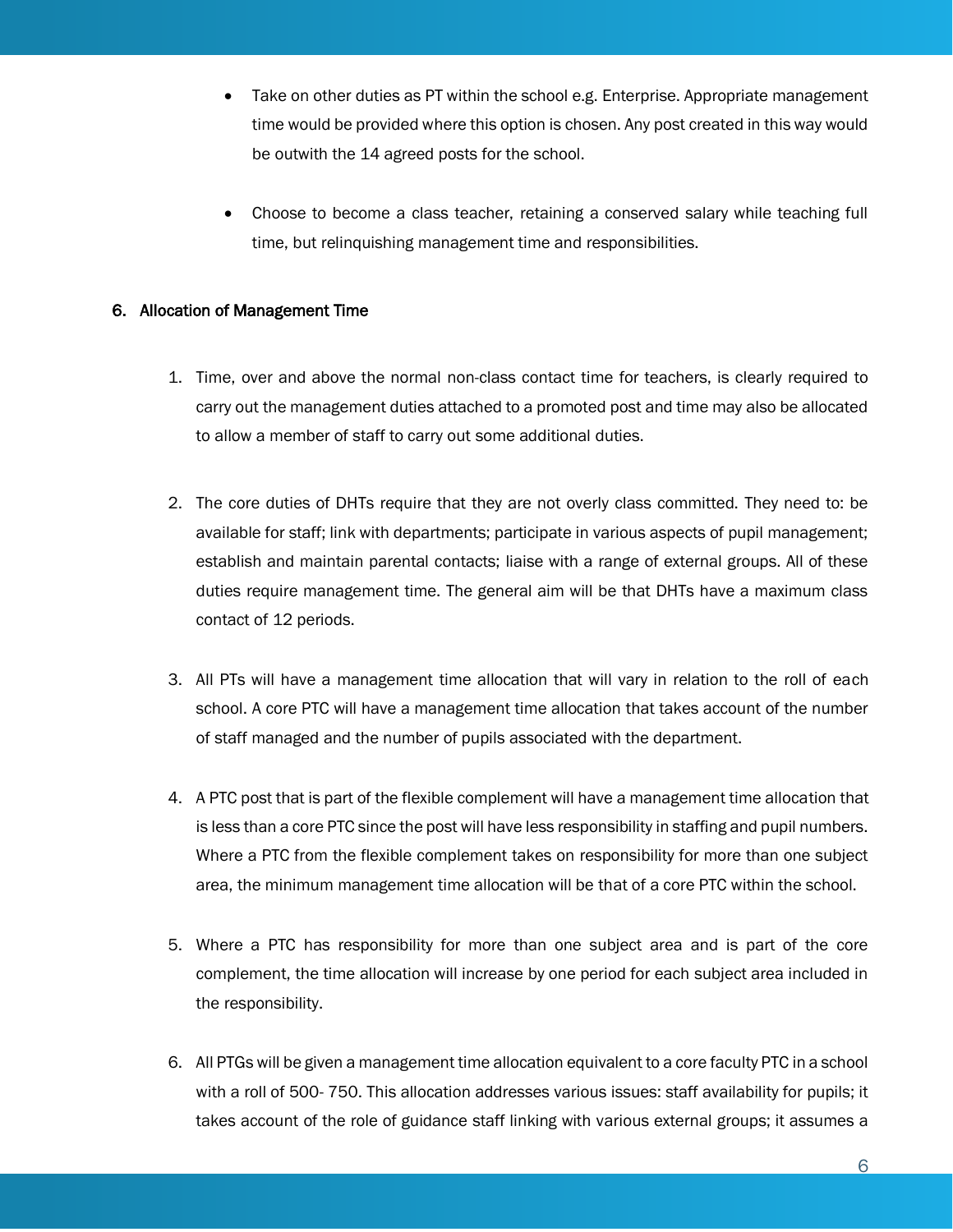- Take on other duties as PT within the school e.g. Enterprise. Appropriate management time would be provided where this option is chosen. Any post created in this way would be outwith the 14 agreed posts for the school.
- Choose to become a class teacher, retaining a conserved salary while teaching full time, but relinquishing management time and responsibilities.

#### 6. Allocation of Management Time

- 1. Time, over and above the normal non-class contact time for teachers, is clearly required to carry out the management duties attached to a promoted post and time may also be allocated to allow a member of staff to carry out some additional duties.
- 2. The core duties of DHTs require that they are not overly class committed. They need to: be available for staff; link with departments; participate in various aspects of pupil management; establish and maintain parental contacts; liaise with a range of external groups. All of these duties require management time. The general aim will be that DHTs have a maximum class contact of 12 periods.
- 3. All PTs will have a management time allocation that will vary in relation to the roll of each school. A core PTC will have a management time allocation that takes account of the number of staff managed and the number of pupils associated with the department.
- 4. A PTC post that is part of the flexible complement will have a management time allocation that is less than a core PTC since the post will have less responsibility in staffing and pupil numbers. Where a PTC from the flexible complement takes on responsibility for more than one subject area, the minimum management time allocation will be that of a core PTC within the school.
- 5. Where a PTC has responsibility for more than one subject area and is part of the core complement, the time allocation will increase by one period for each subject area included in the responsibility.
- 6. All PTGs will be given a management time allocation equivalent to a core faculty PTC in a school with a roll of 500- 750. This allocation addresses various issues: staff availability for pupils; it takes account of the role of guidance staff linking with various external groups; it assumes a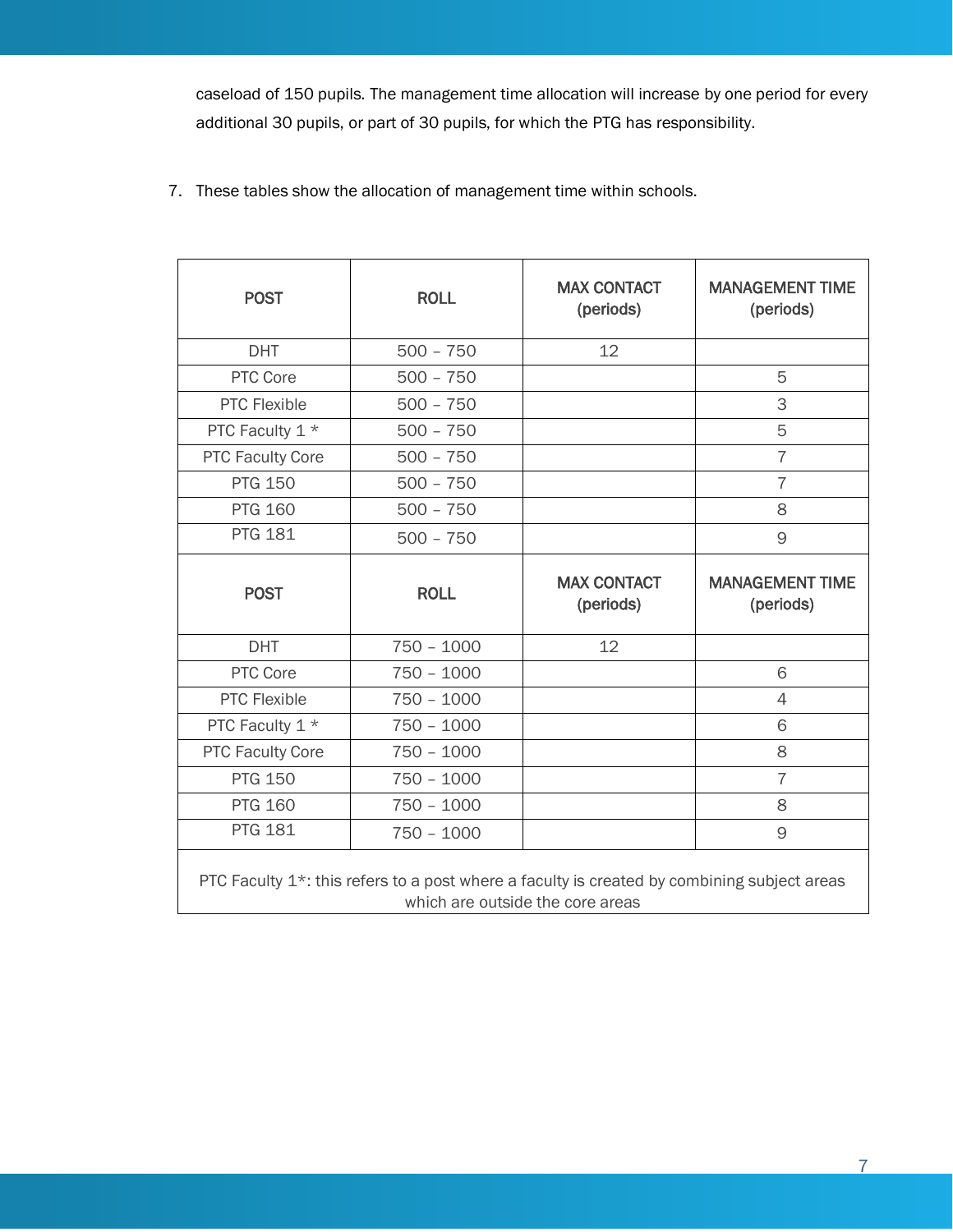caseload of 150 pupils. The management time allocation will increase by one period for every additional 30 pupils, or part of 30 pupils, for which the PTG has responsibility.

7. These tables show the allocation of management time within schools.

| <b>POST</b>                                                                                                                                  | <b>ROLL</b>  | <b>MAX CONTACT</b><br>(periods) | <b>MANAGEMENT TIME</b><br>(periods) |  |
|----------------------------------------------------------------------------------------------------------------------------------------------|--------------|---------------------------------|-------------------------------------|--|
| <b>DHT</b>                                                                                                                                   | $500 - 750$  | 12                              |                                     |  |
| PTC Core                                                                                                                                     | $500 - 750$  |                                 | 5                                   |  |
| <b>PTC Flexible</b>                                                                                                                          | $500 - 750$  |                                 | 3                                   |  |
| PTC Faculty 1 *                                                                                                                              | $500 - 750$  |                                 | 5                                   |  |
| <b>PTC Faculty Core</b>                                                                                                                      | $500 - 750$  |                                 | $\overline{7}$                      |  |
| <b>PTG 150</b>                                                                                                                               | $500 - 750$  |                                 | $\overline{7}$                      |  |
| <b>PTG 160</b>                                                                                                                               | $500 - 750$  |                                 | 8                                   |  |
| <b>PTG 181</b>                                                                                                                               | $500 - 750$  |                                 | 9                                   |  |
| <b>POST</b>                                                                                                                                  | <b>ROLL</b>  | <b>MAX CONTACT</b><br>(periods) | <b>MANAGEMENT TIME</b><br>(periods) |  |
| <b>DHT</b>                                                                                                                                   | $750 - 1000$ | 12                              |                                     |  |
| PTC Core                                                                                                                                     | $750 - 1000$ |                                 | 6                                   |  |
| <b>PTC Flexible</b>                                                                                                                          | $750 - 1000$ |                                 | $\overline{4}$                      |  |
| PTC Faculty 1 *                                                                                                                              | $750 - 1000$ |                                 | 6                                   |  |
| <b>PTC Faculty Core</b>                                                                                                                      | $750 - 1000$ |                                 | 8                                   |  |
| <b>PTG 150</b>                                                                                                                               | $750 - 1000$ |                                 | $\overline{7}$                      |  |
| <b>PTG 160</b>                                                                                                                               | $750 - 1000$ |                                 | 8                                   |  |
| <b>PTG 181</b>                                                                                                                               | $750 - 1000$ |                                 | 9                                   |  |
| PTC Faculty 1 <sup>*</sup> : this refers to a post where a faculty is created by combining subject areas<br>which are outside the core areas |              |                                 |                                     |  |